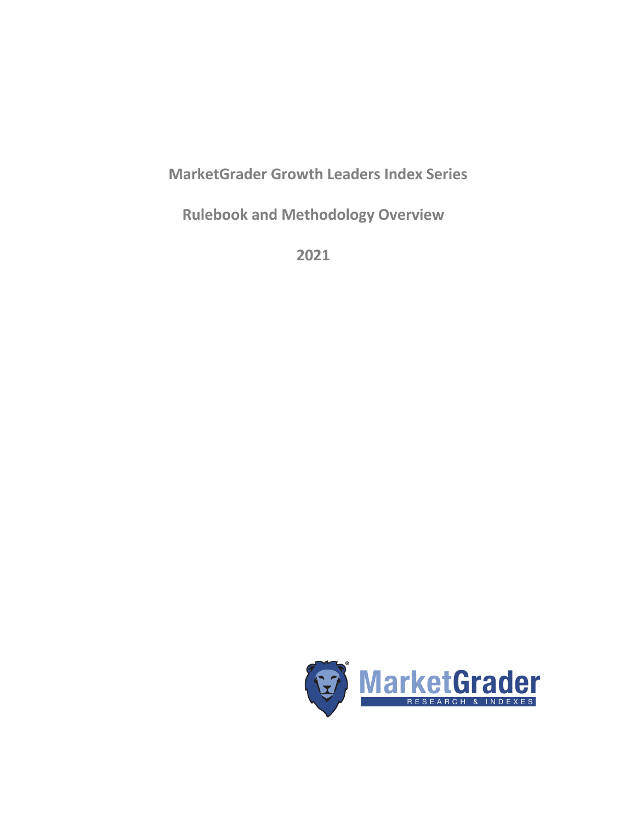# **MarketGrader Growth Leaders Index Series**

**Rulebook and Methodology Overview**

**2021**

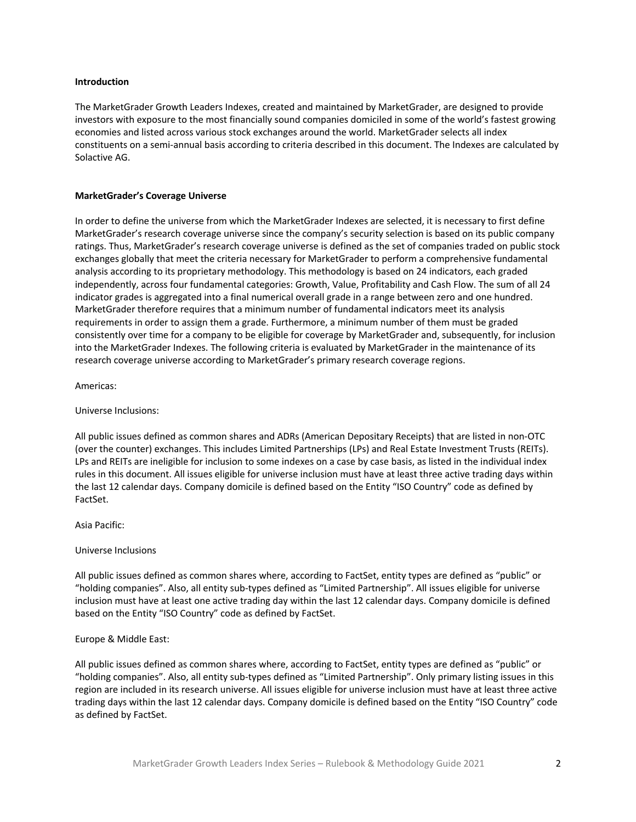#### **Introduction**

The MarketGrader Growth Leaders Indexes, created and maintained by MarketGrader, are designed to provide investors with exposure to the most financially sound companies domiciled in some of the world's fastest growing economies and listed across various stock exchanges around the world. MarketGrader selects all index constituents on a semi-annual basis according to criteria described in this document. The Indexes are calculated by Solactive AG.

#### **MarketGrader's Coverage Universe**

In order to define the universe from which the MarketGrader Indexes are selected, it is necessary to first define MarketGrader's research coverage universe since the company's security selection is based on its public company ratings. Thus, MarketGrader's research coverage universe is defined as the set of companies traded on public stock exchanges globally that meet the criteria necessary for MarketGrader to perform a comprehensive fundamental analysis according to its proprietary methodology. This methodology is based on 24 indicators, each graded independently, across four fundamental categories: Growth, Value, Profitability and Cash Flow. The sum of all 24 indicator grades is aggregated into a final numerical overall grade in a range between zero and one hundred. MarketGrader therefore requires that a minimum number of fundamental indicators meet its analysis requirements in order to assign them a grade. Furthermore, a minimum number of them must be graded consistently over time for a company to be eligible for coverage by MarketGrader and, subsequently, for inclusion into the MarketGrader Indexes. The following criteria is evaluated by MarketGrader in the maintenance of its research coverage universe according to MarketGrader's primary research coverage regions.

Americas:

Universe Inclusions:

All public issues defined as common shares and ADRs (American Depositary Receipts) that are listed in non-OTC (over the counter) exchanges. This includes Limited Partnerships (LPs) and Real Estate Investment Trusts (REITs). LPs and REITs are ineligible for inclusion to some indexes on a case by case basis, as listed in the individual index rules in this document. All issues eligible for universe inclusion must have at least three active trading days within the last 12 calendar days. Company domicile is defined based on the Entity "ISO Country" code as defined by FactSet.

Asia Pacific:

#### Universe Inclusions

All public issues defined as common shares where, according to FactSet, entity types are defined as "public" or "holding companies". Also, all entity sub-types defined as "Limited Partnership". All issues eligible for universe inclusion must have at least one active trading day within the last 12 calendar days. Company domicile is defined based on the Entity "ISO Country" code as defined by FactSet.

#### Europe & Middle East:

All public issues defined as common shares where, according to FactSet, entity types are defined as "public" or "holding companies". Also, all entity sub-types defined as "Limited Partnership". Only primary listing issues in this region are included in its research universe. All issues eligible for universe inclusion must have at least three active trading days within the last 12 calendar days. Company domicile is defined based on the Entity "ISO Country" code as defined by FactSet.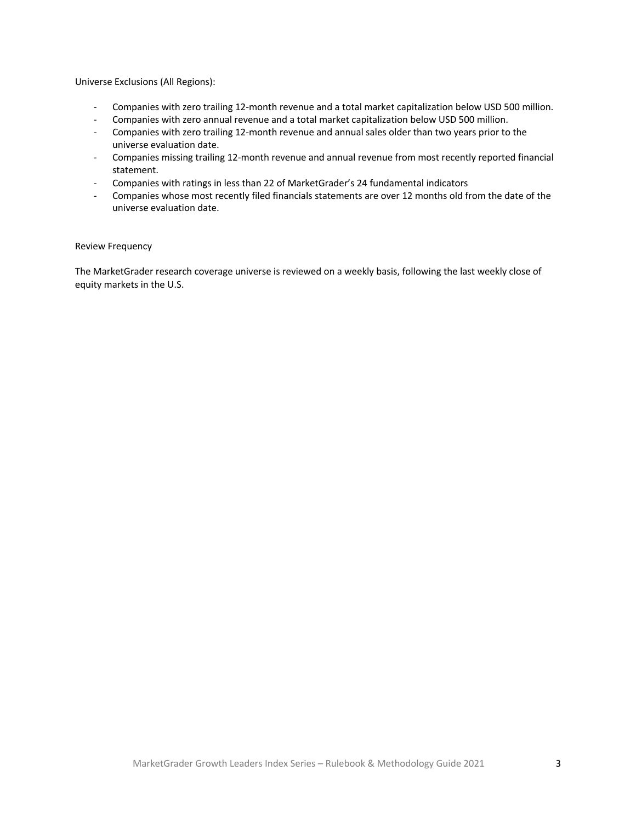Universe Exclusions (All Regions):

- Companies with zero trailing 12-month revenue and a total market capitalization below USD 500 million.
- Companies with zero annual revenue and a total market capitalization below USD 500 million.
- Companies with zero trailing 12-month revenue and annual sales older than two years prior to the universe evaluation date.
- Companies missing trailing 12-month revenue and annual revenue from most recently reported financial statement.
- Companies with ratings in less than 22 of MarketGrader's 24 fundamental indicators
- Companies whose most recently filed financials statements are over 12 months old from the date of the universe evaluation date.

## Review Frequency

The MarketGrader research coverage universe is reviewed on a weekly basis, following the last weekly close of equity markets in the U.S.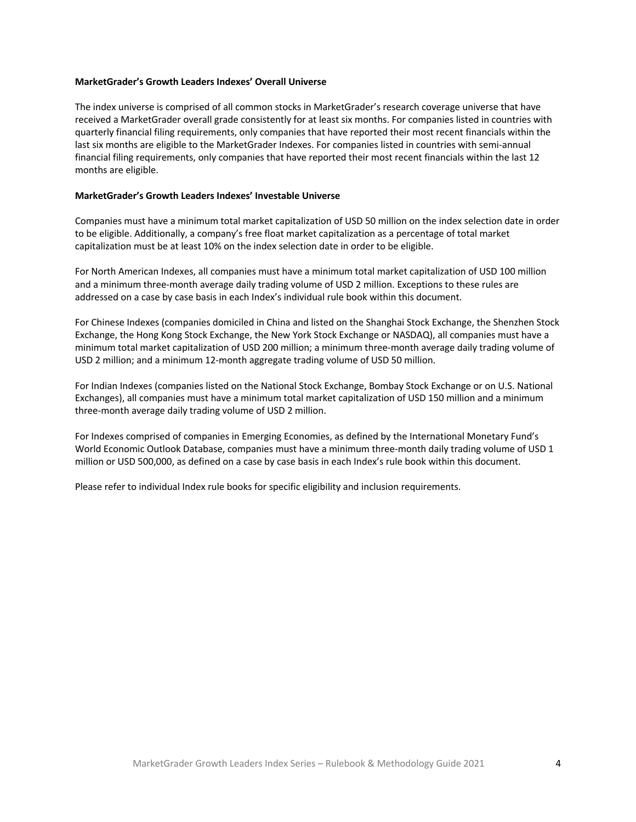#### **MarketGrader's Growth Leaders Indexes' Overall Universe**

The index universe is comprised of all common stocks in MarketGrader's research coverage universe that have received a MarketGrader overall grade consistently for at least six months. For companies listed in countries with quarterly financial filing requirements, only companies that have reported their most recent financials within the last six months are eligible to the MarketGrader Indexes. For companies listed in countries with semi-annual financial filing requirements, only companies that have reported their most recent financials within the last 12 months are eligible.

# **MarketGrader's Growth Leaders Indexes' Investable Universe**

Companies must have a minimum total market capitalization of USD 50 million on the index selection date in order to be eligible. Additionally, a company's free float market capitalization as a percentage of total market capitalization must be at least 10% on the index selection date in order to be eligible.

For North American Indexes, all companies must have a minimum total market capitalization of USD 100 million and a minimum three-month average daily trading volume of USD 2 million. Exceptions to these rules are addressed on a case by case basis in each Index's individual rule book within this document.

For Chinese Indexes (companies domiciled in China and listed on the Shanghai Stock Exchange, the Shenzhen Stock Exchange, the Hong Kong Stock Exchange, the New York Stock Exchange or NASDAQ), all companies must have a minimum total market capitalization of USD 200 million; a minimum three-month average daily trading volume of USD 2 million; and a minimum 12-month aggregate trading volume of USD 50 million.

For Indian Indexes (companies listed on the National Stock Exchange, Bombay Stock Exchange or on U.S. National Exchanges), all companies must have a minimum total market capitalization of USD 150 million and a minimum three-month average daily trading volume of USD 2 million.

For Indexes comprised of companies in Emerging Economies, as defined by the International Monetary Fund's World Economic Outlook Database, companies must have a minimum three-month daily trading volume of USD 1 million or USD 500,000, as defined on a case by case basis in each Index's rule book within this document.

Please refer to individual Index rule books for specific eligibility and inclusion requirements.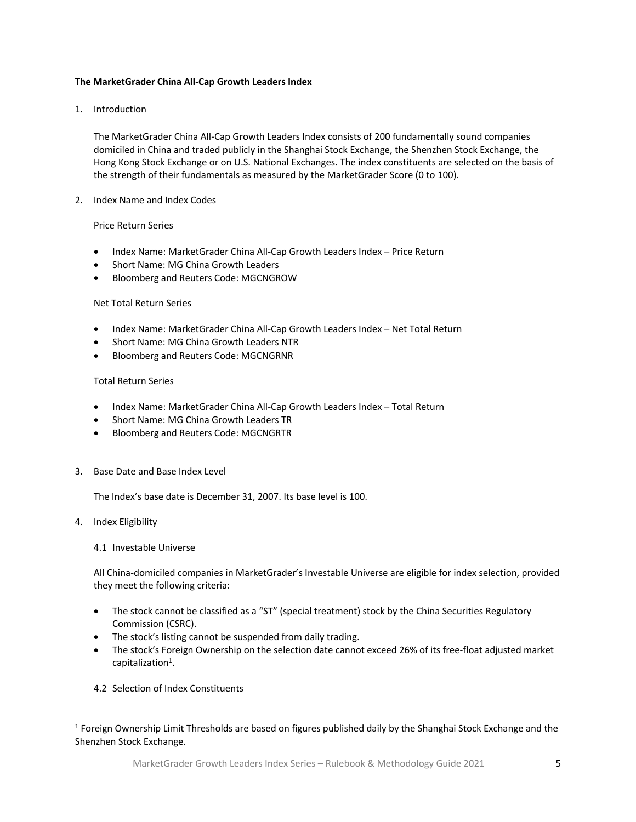# **The MarketGrader China All-Cap Growth Leaders Index**

1. Introduction

The MarketGrader China All-Cap Growth Leaders Index consists of 200 fundamentally sound companies domiciled in China and traded publicly in the Shanghai Stock Exchange, the Shenzhen Stock Exchange, the Hong Kong Stock Exchange or on U.S. National Exchanges. The index constituents are selected on the basis of the strength of their fundamentals as measured by the MarketGrader Score (0 to 100).

2. Index Name and Index Codes

# Price Return Series

- Index Name: MarketGrader China All-Cap Growth Leaders Index Price Return
- Short Name: MG China Growth Leaders
- Bloomberg and Reuters Code: MGCNGROW

## Net Total Return Series

- Index Name: MarketGrader China All-Cap Growth Leaders Index Net Total Return
- Short Name: MG China Growth Leaders NTR
- Bloomberg and Reuters Code: MGCNGRNR

## Total Return Series

- Index Name: MarketGrader China All-Cap Growth Leaders Index Total Return
- Short Name: MG China Growth Leaders TR
- Bloomberg and Reuters Code: MGCNGRTR
- 3. Base Date and Base Index Level

The Index's base date is December 31, 2007. Its base level is 100.

4. Index Eligibility

# 4.1 Investable Universe

All China-domiciled companies in MarketGrader's Investable Universe are eligible for index selection, provided they meet the following criteria:

- The stock cannot be classified as a "ST" (special treatment) stock by the China Securities Regulatory Commission (CSRC).
- The stock's listing cannot be suspended from daily trading.
- The stock's Foreign Ownership on the selection date cannot exceed 26% of its free-float adjusted market  $capitalization<sup>1</sup>$ .
- 4.2 Selection of Index Constituents

<sup>&</sup>lt;sup>1</sup> Foreign Ownership Limit Thresholds are based on figures published daily by the Shanghai Stock Exchange and the Shenzhen Stock Exchange.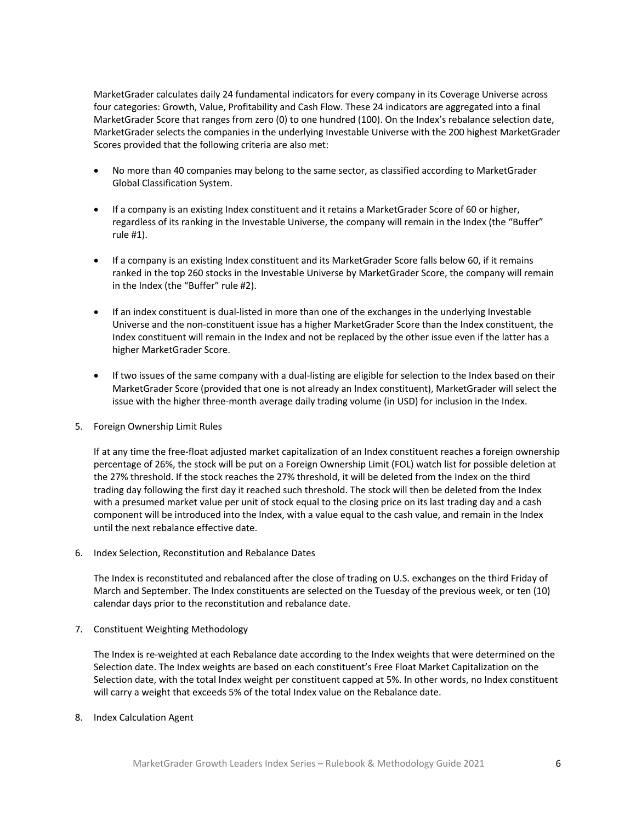MarketGrader calculates daily 24 fundamental indicators for every company in its Coverage Universe across four categories: Growth, Value, Profitability and Cash Flow. These 24 indicators are aggregated into a final MarketGrader Score that ranges from zero (0) to one hundred (100). On the Index's rebalance selection date, MarketGrader selects the companies in the underlying Investable Universe with the 200 highest MarketGrader Scores provided that the following criteria are also met:

- No more than 40 companies may belong to the same sector, as classified according to MarketGrader Global Classification System.
- If a company is an existing Index constituent and it retains a MarketGrader Score of 60 or higher, regardless of its ranking in the Investable Universe, the company will remain in the Index (the "Buffer" rule #1).
- If a company is an existing Index constituent and its MarketGrader Score falls below 60, if it remains ranked in the top 260 stocks in the Investable Universe by MarketGrader Score, the company will remain in the Index (the "Buffer" rule #2).
- If an index constituent is dual-listed in more than one of the exchanges in the underlying Investable Universe and the non-constituent issue has a higher MarketGrader Score than the Index constituent, the Index constituent will remain in the Index and not be replaced by the other issue even if the latter has a higher MarketGrader Score.
- If two issues of the same company with a dual-listing are eligible for selection to the Index based on their MarketGrader Score (provided that one is not already an Index constituent), MarketGrader will select the issue with the higher three-month average daily trading volume (in USD) for inclusion in the Index.
- 5. Foreign Ownership Limit Rules

If at any time the free-float adjusted market capitalization of an Index constituent reaches a foreign ownership percentage of 26%, the stock will be put on a Foreign Ownership Limit (FOL) watch list for possible deletion at the 27% threshold. If the stock reaches the 27% threshold, it will be deleted from the Index on the third trading day following the first day it reached such threshold. The stock will then be deleted from the Index with a presumed market value per unit of stock equal to the closing price on its last trading day and a cash component will be introduced into the Index, with a value equal to the cash value, and remain in the Index until the next rebalance effective date.

6. Index Selection, Reconstitution and Rebalance Dates

The Index is reconstituted and rebalanced after the close of trading on U.S. exchanges on the third Friday of March and September. The Index constituents are selected on the Tuesday of the previous week, or ten (10) calendar days prior to the reconstitution and rebalance date.

7. Constituent Weighting Methodology

The Index is re-weighted at each Rebalance date according to the Index weights that were determined on the Selection date. The Index weights are based on each constituent's Free Float Market Capitalization on the Selection date, with the total Index weight per constituent capped at 5%. In other words, no Index constituent will carry a weight that exceeds 5% of the total Index value on the Rebalance date.

8. Index Calculation Agent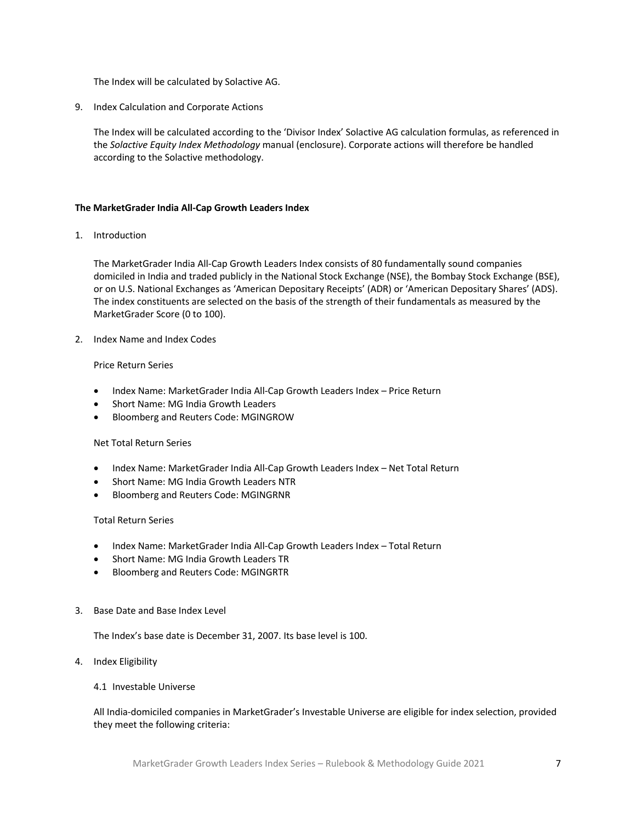The Index will be calculated by Solactive AG.

9. Index Calculation and Corporate Actions

The Index will be calculated according to the 'Divisor Index' Solactive AG calculation formulas, as referenced in the *Solactive Equity Index Methodology* manual (enclosure). Corporate actions will therefore be handled according to the Solactive methodology.

# **The MarketGrader India All-Cap Growth Leaders Index**

1. Introduction

The MarketGrader India All-Cap Growth Leaders Index consists of 80 fundamentally sound companies domiciled in India and traded publicly in the National Stock Exchange (NSE), the Bombay Stock Exchange (BSE), or on U.S. National Exchanges as 'American Depositary Receipts' (ADR) or 'American Depositary Shares' (ADS). The index constituents are selected on the basis of the strength of their fundamentals as measured by the MarketGrader Score (0 to 100).

2. Index Name and Index Codes

## Price Return Series

- Index Name: MarketGrader India All-Cap Growth Leaders Index Price Return
- Short Name: MG India Growth Leaders
- Bloomberg and Reuters Code: MGINGROW

## Net Total Return Series

- Index Name: MarketGrader India All-Cap Growth Leaders Index Net Total Return
- Short Name: MG India Growth Leaders NTR
- Bloomberg and Reuters Code: MGINGRNR

#### Total Return Series

- Index Name: MarketGrader India All-Cap Growth Leaders Index Total Return
- Short Name: MG India Growth Leaders TR
- Bloomberg and Reuters Code: MGINGRTR
- 3. Base Date and Base Index Level

The Index's base date is December 31, 2007. Its base level is 100.

4. Index Eligibility

# 4.1 Investable Universe

All India-domiciled companies in MarketGrader's Investable Universe are eligible for index selection, provided they meet the following criteria: